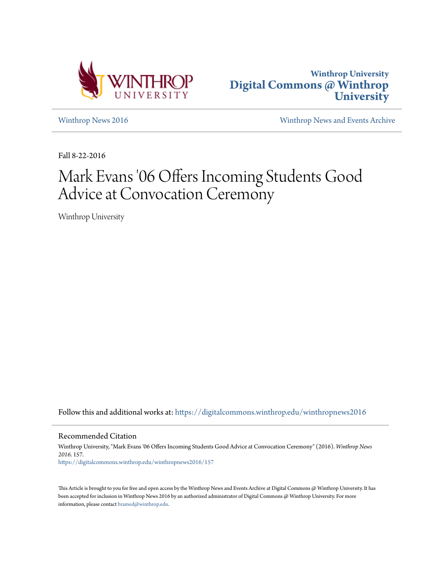



[Winthrop News 2016](https://digitalcommons.winthrop.edu/winthropnews2016?utm_source=digitalcommons.winthrop.edu%2Fwinthropnews2016%2F157&utm_medium=PDF&utm_campaign=PDFCoverPages) [Winthrop News and Events Archive](https://digitalcommons.winthrop.edu/winthropnewsarchives?utm_source=digitalcommons.winthrop.edu%2Fwinthropnews2016%2F157&utm_medium=PDF&utm_campaign=PDFCoverPages)

Fall 8-22-2016

# Mark Evans '06 Offers Incoming Students Good Advice at Convocation Ceremony

Winthrop University

Follow this and additional works at: [https://digitalcommons.winthrop.edu/winthropnews2016](https://digitalcommons.winthrop.edu/winthropnews2016?utm_source=digitalcommons.winthrop.edu%2Fwinthropnews2016%2F157&utm_medium=PDF&utm_campaign=PDFCoverPages)

Recommended Citation

Winthrop University, "Mark Evans '06 Offers Incoming Students Good Advice at Convocation Ceremony" (2016). *Winthrop News 2016*. 157. [https://digitalcommons.winthrop.edu/winthropnews2016/157](https://digitalcommons.winthrop.edu/winthropnews2016/157?utm_source=digitalcommons.winthrop.edu%2Fwinthropnews2016%2F157&utm_medium=PDF&utm_campaign=PDFCoverPages)

This Article is brought to you for free and open access by the Winthrop News and Events Archive at Digital Commons @ Winthrop University. It has been accepted for inclusion in Winthrop News 2016 by an authorized administrator of Digital Commons @ Winthrop University. For more information, please contact [bramed@winthrop.edu](mailto:bramed@winthrop.edu).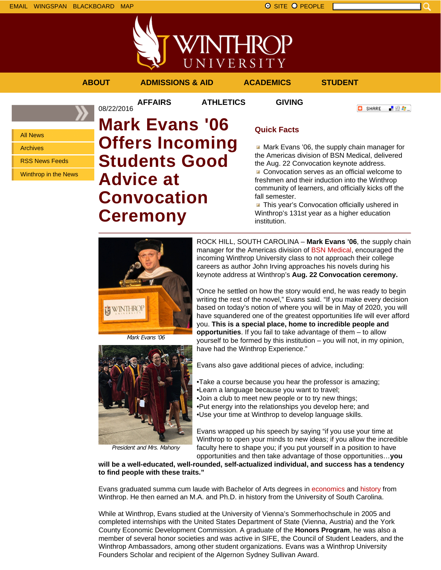

### **ABOUT ADMISSIONS & AID ACADEMICS STUDENT**

08/22/2016

**AFFAIRS ATHLETICS GIVING**

**O** SHARE 上脸身。

All News

Archives

RSS News Feeds

Winthrop in the News

# **Mark Evans '06 Offers Incoming Students Good Advice at Convocation Ceremony**

## **Quick Facts**

Mark Evans '06, the supply chain manager for the Americas division of BSN Medical, delivered the Aug. 22 Convocation keynote address.

Convocation serves as an official welcome to freshmen and their induction into the Winthrop community of learners, and officially kicks off the fall semester.

**This year's Convocation officially ushered in** Winthrop's 131st year as a higher education institution.

**WINTHROI** 

Mark Evans '06



President and Mrs. Mahony

ROCK HILL, SOUTH CAROLINA – **Mark Evans '06**, the supply chain manager for the Americas division of BSN Medical, encouraged the incoming Winthrop University class to not approach their college careers as author John Irving approaches his novels during his keynote address at Winthrop's **Aug. 22 Convocation ceremony.**

"Once he settled on how the story would end, he was ready to begin writing the rest of the novel," Evans said. "If you make every decision based on today's notion of where you will be in May of 2020, you will have squandered one of the greatest opportunities life will ever afford you. **This is a special place, home to incredible people and opportunities**. If you fail to take advantage of them – to allow yourself to be formed by this institution – you will not, in my opinion, have had the Winthrop Experience."

Evans also gave additional pieces of advice, including:

•Take a course because you hear the professor is amazing;

•Learn a language because you want to travel;

•Join a club to meet new people or to try new things; •Put energy into the relationships you develop here; and

•Use your time at Winthrop to develop language skills.

Evans wrapped up his speech by saying "if you use your time at Winthrop to open your minds to new ideas; if you allow the incredible faculty here to shape you; if you put yourself in a position to have opportunities and then take advantage of those opportunities…**you**

**will be a well-educated, well-rounded, self-actualized individual, and success has a tendency to find people with these traits."**

Evans graduated summa cum laude with Bachelor of Arts degrees in economics and history from Winthrop. He then earned an M.A. and Ph.D. in history from the University of South Carolina.

While at Winthrop, Evans studied at the University of Vienna's Sommerhochschule in 2005 and completed internships with the United States Department of State (Vienna, Austria) and the York County Economic Development Commission. A graduate of the **Honors Program**, he was also a member of several honor societies and was active in SIFE, the Council of Student Leaders, and the Winthrop Ambassadors, among other student organizations. Evans was a Winthrop University Founders Scholar and recipient of the Algernon Sydney Sullivan Award.